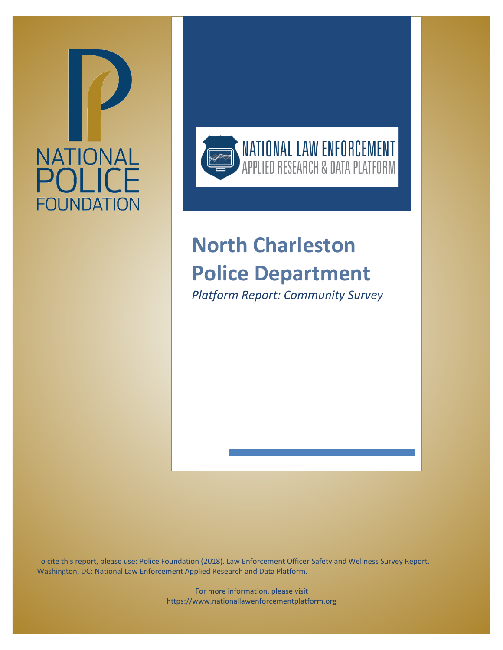



# **North Charleston Police Department**

*Platform Report: Community Survey*

To cite this report, please use: Police Foundation (2018). Law Enforcement Officer Safety and Wellness Survey Report. Washington, DC: National Law Enforcement Applied Research and Data Platform.

> For more information, please visit https://www.nationallawenforcementplatform.org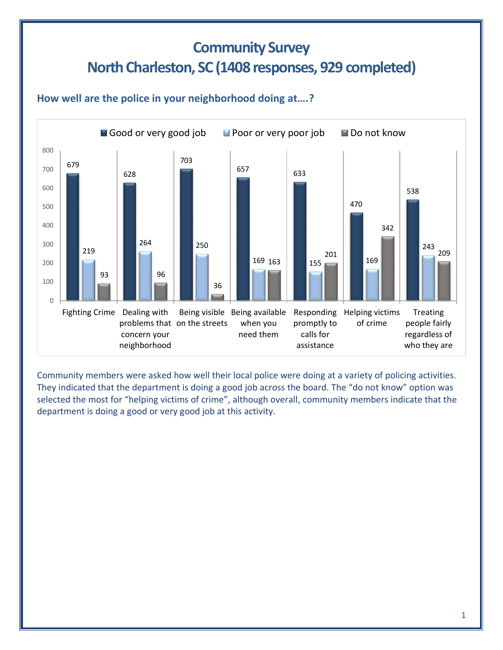# **Community Survey North Charleston, SC(1408 responses, 929 completed)**

#### **How well are the police in your neighborhood doing at….?**



Community members were asked how well their local police were doing at a variety of policing activities. They indicated that the department is doing a good job across the board. The "do not know" option was selected the most for "helping victims of crime", although overall, community members indicate that the department is doing a good or very good job at this activity.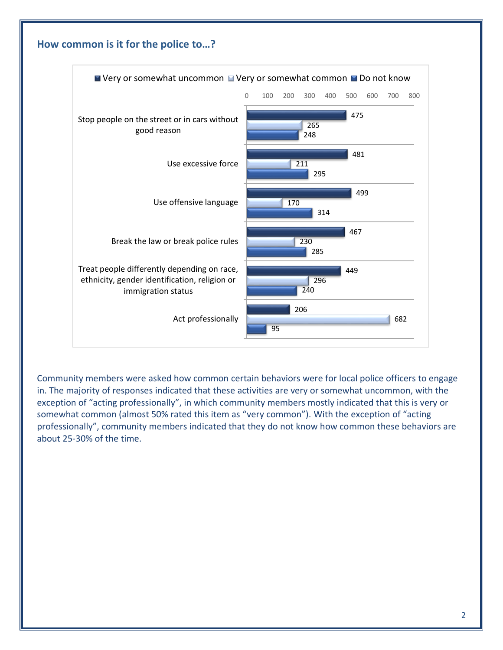

Community members were asked how common certain behaviors were for local police officers to engage in. The majority of responses indicated that these activities are very or somewhat uncommon, with the exception of "acting professionally", in which community members mostly indicated that this is very or somewhat common (almost 50% rated this item as "very common"). With the exception of "acting professionally", community members indicated that they do not know how common these behaviors are about 25-30% of the time.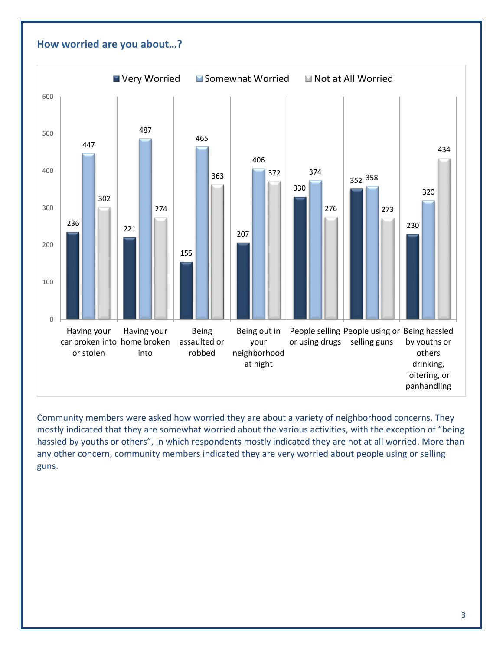

Community members were asked how worried they are about a variety of neighborhood concerns. They mostly indicated that they are somewhat worried about the various activities, with the exception of "being hassled by youths or others", in which respondents mostly indicated they are not at all worried. More than any other concern, community members indicated they are very worried about people using or selling guns.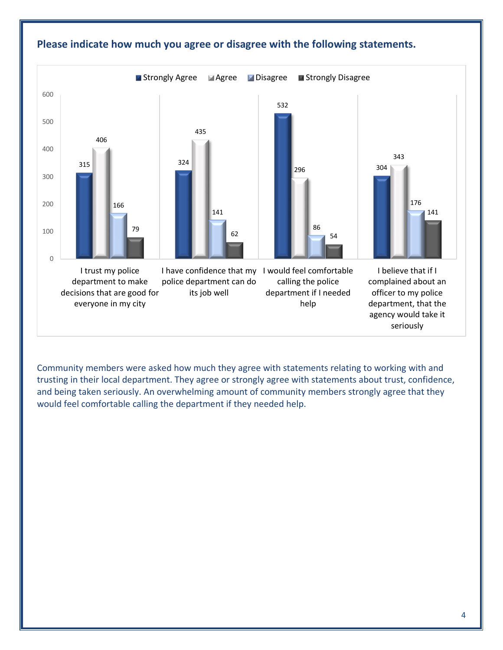

#### **Please indicate how much you agree or disagree with the following statements.**

Community members were asked how much they agree with statements relating to working with and trusting in their local department. They agree or strongly agree with statements about trust, confidence, and being taken seriously. An overwhelming amount of community members strongly agree that they would feel comfortable calling the department if they needed help.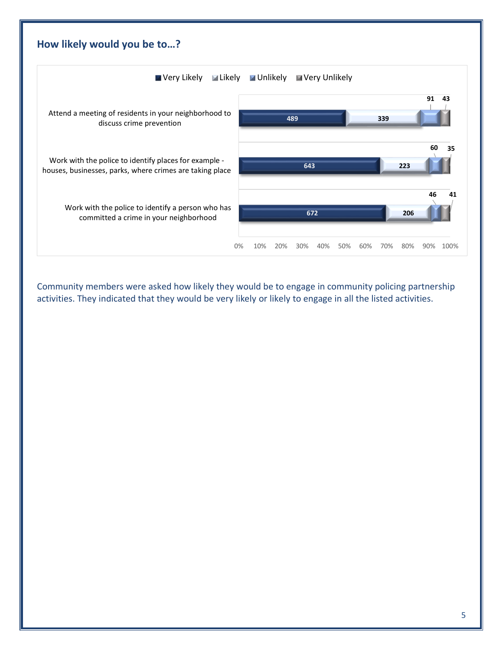

Community members were asked how likely they would be to engage in community policing partnership activities. They indicated that they would be very likely or likely to engage in all the listed activities.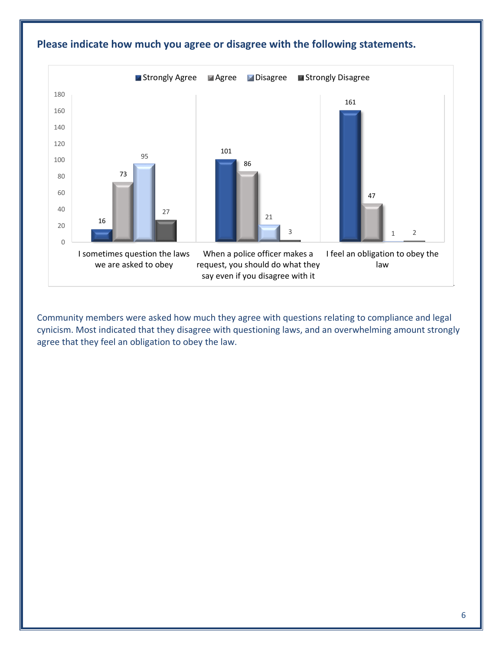

#### **Please indicate how much you agree or disagree with the following statements.**

Community members were asked how much they agree with questions relating to compliance and legal cynicism. Most indicated that they disagree with questioning laws, and an overwhelming amount strongly agree that they feel an obligation to obey the law.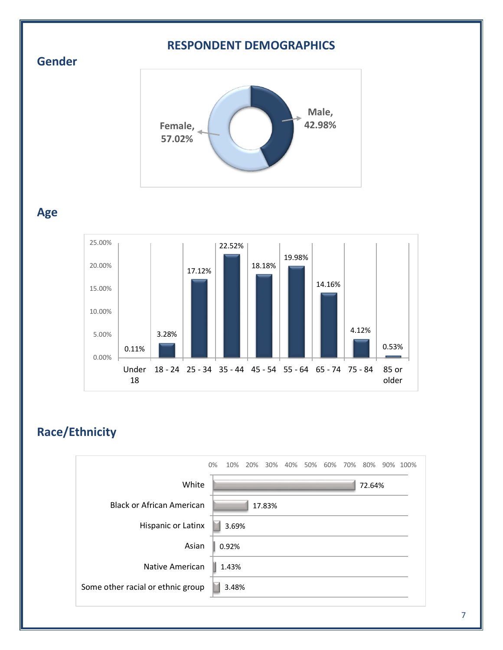#### **RESPONDENT DEMOGRAPHICS**





#### **Age**



## **Race/Ethnicity**

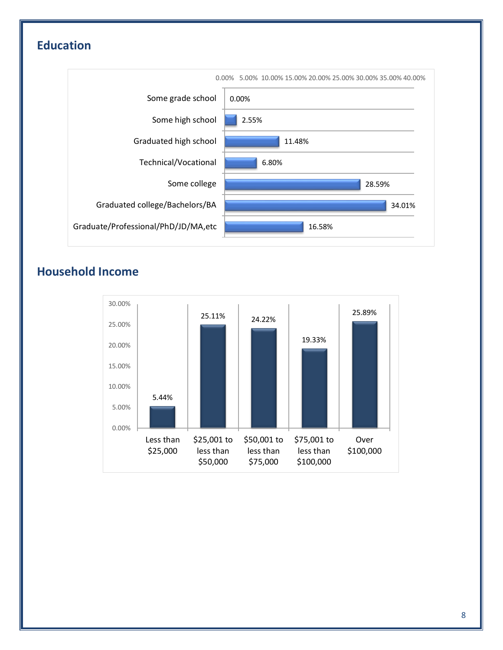# **Education**



# **Household Income**

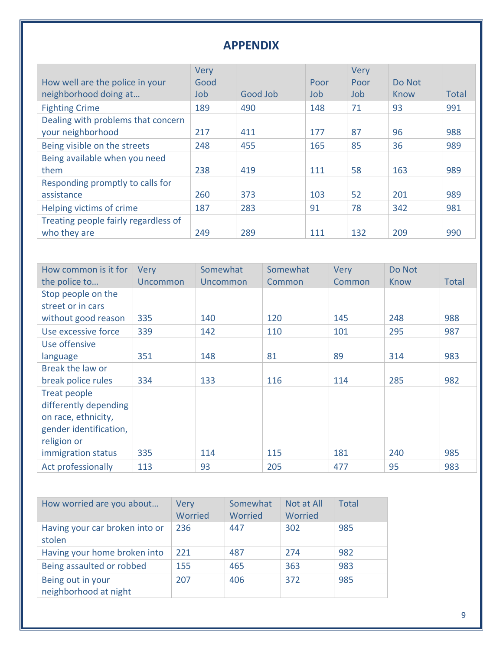### **APPENDIX**

|                                      | <b>Very</b> |          |      | Very |        |              |
|--------------------------------------|-------------|----------|------|------|--------|--------------|
| How well are the police in your      | Good        |          | Poor | Poor | Do Not |              |
| neighborhood doing at                | Job         | Good Job | Job. | Job  | Know   | <b>Total</b> |
| <b>Fighting Crime</b>                | 189         | 490      | 148  | 71   | 93     | 991          |
| Dealing with problems that concern   |             |          |      |      |        |              |
| your neighborhood                    | 217         | 411      | 177  | 87   | 96     | 988          |
| Being visible on the streets         | 248         | 455      | 165  | 85   | 36     | 989          |
| Being available when you need        |             |          |      |      |        |              |
| them                                 | 238         | 419      | 111  | 58   | 163    | 989          |
| Responding promptly to calls for     |             |          |      |      |        |              |
| assistance                           | 260         | 373      | 103  | 52   | 201    | 989          |
| Helping victims of crime             | 187         | 283      | 91   | 78   | 342    | 981          |
| Treating people fairly regardless of |             |          |      |      |        |              |
| who they are                         | 249         | 289      | 111  | 132  | 209    | 990          |

| How common is it for   | <b>Very</b> | Somewhat | Somewhat | <b>Very</b> | Do Not |              |
|------------------------|-------------|----------|----------|-------------|--------|--------------|
| the police to          | Uncommon    | Uncommon | Common   | Common      | Know   | <b>Total</b> |
| Stop people on the     |             |          |          |             |        |              |
| street or in cars      |             |          |          |             |        |              |
| without good reason    | 335         | 140      | 120      | 145         | 248    | 988          |
| Use excessive force    | 339         | 142      | 110      | 101         | 295    | 987          |
| Use offensive          |             |          |          |             |        |              |
| language               | 351         | 148      | 81       | 89          | 314    | 983          |
| Break the law or       |             |          |          |             |        |              |
| break police rules     | 334         | 133      | 116      | 114         | 285    | 982          |
| Treat people           |             |          |          |             |        |              |
| differently depending  |             |          |          |             |        |              |
| on race, ethnicity,    |             |          |          |             |        |              |
| gender identification, |             |          |          |             |        |              |
| religion or            |             |          |          |             |        |              |
| immigration status     | 335         | 114      | 115      | 181         | 240    | 985          |
| Act professionally     | 113         | 93       | 205      | 477         | 95     | 983          |

| How worried are you about                  | Very<br>Worried | Somewhat<br>Worried | Not at All<br>Worried | <b>Total</b> |
|--------------------------------------------|-----------------|---------------------|-----------------------|--------------|
| Having your car broken into or<br>stolen   | 236             | 447                 | 302                   | 985          |
| Having your home broken into               | 221             | 487                 | 274                   | 982          |
| Being assaulted or robbed                  | 155             | 465                 | 363                   | 983          |
| Being out in your<br>neighborhood at night | 207             | 406                 | 372                   | 985          |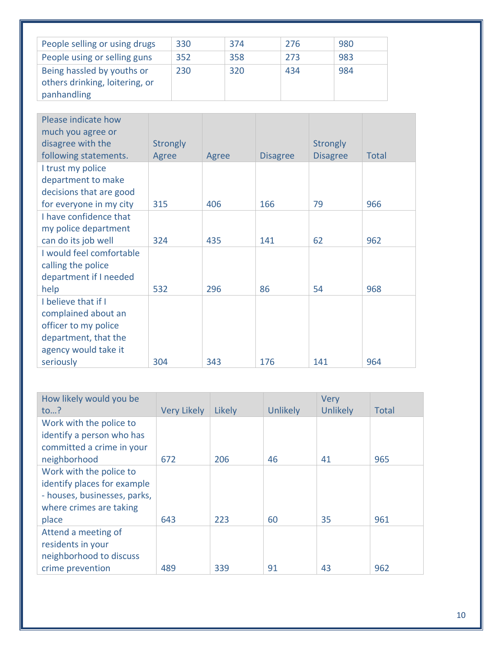| People selling or using drugs                                | 330 | 374 | 276 | 980 |
|--------------------------------------------------------------|-----|-----|-----|-----|
| People using or selling guns                                 | 352 | 358 | 273 | 983 |
| Being hassled by youths or<br>others drinking, loitering, or | 230 | 320 | 434 | 984 |
| panhandling                                                  |     |     |     |     |

| Please indicate how      |                 |       |                 |                 |              |
|--------------------------|-----------------|-------|-----------------|-----------------|--------------|
| much you agree or        |                 |       |                 |                 |              |
| disagree with the        | <b>Strongly</b> |       |                 | <b>Strongly</b> |              |
| following statements.    | Agree           | Agree | <b>Disagree</b> | <b>Disagree</b> | <b>Total</b> |
| I trust my police        |                 |       |                 |                 |              |
| department to make       |                 |       |                 |                 |              |
| decisions that are good  |                 |       |                 |                 |              |
| for everyone in my city  | 315             | 406   | 166             | 79              | 966          |
| I have confidence that   |                 |       |                 |                 |              |
| my police department     |                 |       |                 |                 |              |
| can do its job well      | 324             | 435   | 141             | 62              | 962          |
| I would feel comfortable |                 |       |                 |                 |              |
| calling the police       |                 |       |                 |                 |              |
| department if I needed   |                 |       |                 |                 |              |
| help                     | 532             | 296   | 86              | 54              | 968          |
| I believe that if I      |                 |       |                 |                 |              |
| complained about an      |                 |       |                 |                 |              |
| officer to my police     |                 |       |                 |                 |              |
| department, that the     |                 |       |                 |                 |              |
| agency would take it     |                 |       |                 |                 |              |
| seriously                | 304             | 343   | 176             | 141             | 964          |

| How likely would you be      |                    |        |                 | <b>Very</b>     |       |
|------------------------------|--------------------|--------|-----------------|-----------------|-------|
| to?                          | <b>Very Likely</b> | Likely | <b>Unlikely</b> | <b>Unlikely</b> | Total |
| Work with the police to      |                    |        |                 |                 |       |
| identify a person who has    |                    |        |                 |                 |       |
| committed a crime in your    |                    |        |                 |                 |       |
| neighborhood                 | 672                | 206    | 46              | 41              | 965   |
| Work with the police to      |                    |        |                 |                 |       |
| identify places for example  |                    |        |                 |                 |       |
| - houses, businesses, parks, |                    |        |                 |                 |       |
| where crimes are taking      |                    |        |                 |                 |       |
| place                        | 643                | 223    | 60              | 35              | 961   |
| Attend a meeting of          |                    |        |                 |                 |       |
| residents in your            |                    |        |                 |                 |       |
| neighborhood to discuss      |                    |        |                 |                 |       |
| crime prevention             | 489                | 339    | 91              | 43              | 962   |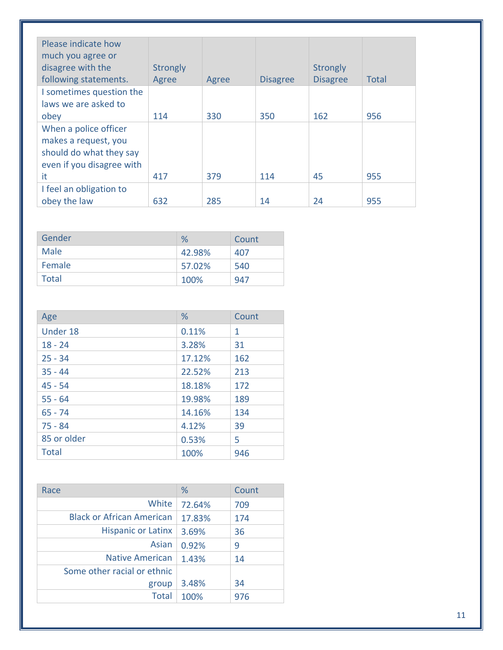| Please indicate how<br>much you agree or<br>disagree with the<br>following statements.                | Strongly<br>Agree | Agree | <b>Disagree</b> | Strongly<br><b>Disagree</b> | <b>Total</b> |
|-------------------------------------------------------------------------------------------------------|-------------------|-------|-----------------|-----------------------------|--------------|
| I sometimes question the<br>laws we are asked to<br>obey                                              | 114               | 330   | 350             | 162                         | 956          |
| When a police officer<br>makes a request, you<br>should do what they say<br>even if you disagree with |                   |       |                 |                             |              |
| it                                                                                                    | 417               | 379   | 114             | 45                          | 955          |
| I feel an obligation to                                                                               |                   |       |                 |                             |              |
| obey the law                                                                                          | 632               | 285   | 14              | 24                          | 955          |

| Gender | $\%$   | Count |
|--------|--------|-------|
| Male   | 42.98% | 407   |
| Female | 57.02% | 540   |
| Total  | 100%   | 947   |

| Age          | %      | Count |
|--------------|--------|-------|
| Under 18     | 0.11%  | 1     |
| $18 - 24$    | 3.28%  | 31    |
| $25 - 34$    | 17.12% | 162   |
| $35 - 44$    | 22.52% | 213   |
| $45 - 54$    | 18.18% | 172   |
| $55 - 64$    | 19.98% | 189   |
| $65 - 74$    | 14.16% | 134   |
| $75 - 84$    | 4.12%  | 39    |
| 85 or older  | 0.53%  | 5     |
| <b>Total</b> | 100%   | 946   |

| Race                             | %      | Count |
|----------------------------------|--------|-------|
| White                            | 72.64% | 709   |
| <b>Black or African American</b> | 17.83% | 174   |
| <b>Hispanic or Latinx</b>        | 3.69%  | 36    |
| Asian                            | 0.92%  | 9     |
| <b>Native American</b>           | 1.43%  | 14    |
| Some other racial or ethnic      |        |       |
| group                            | 3.48%  | 34    |
| <b>Total</b>                     | 100%   | 976   |